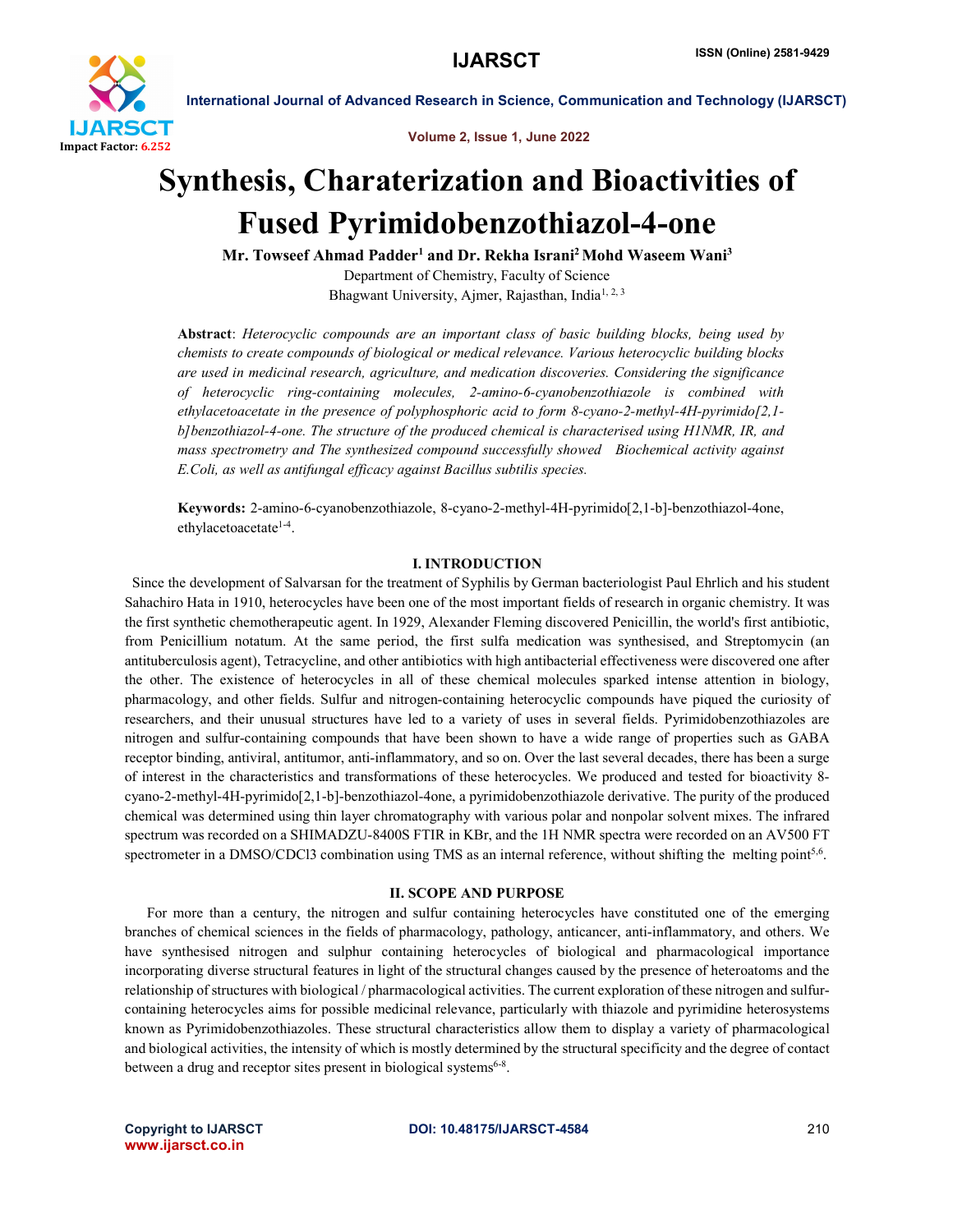

Volume 2, Issue 1, June 2022

# Synthesis, Charaterization and Bioactivities of Fused Pyrimidobenzothiazol-4-one

Mr. Towseef Ahmad Padder<sup>1</sup> and Dr. Rekha Israni<sup>2</sup> Mohd Waseem Wani<sup>3</sup> Department of Chemistry, Faculty of Science Bhagwant University, Ajmer, Rajasthan, India<sup>1, 2, 3</sup>

Abstract: *Heterocyclic compounds are an important class of basic building blocks, being used by chemists to create compounds of biological or medical relevance. Various heterocyclic building blocks are used in medicinal research, agriculture, and medication discoveries. Considering the significance of heterocyclic ring-containing molecules, 2-amino-6-cyanobenzothiazole is combined with ethylacetoacetate in the presence of polyphosphoric acid to form 8-cyano-2-methyl-4H-pyrimido[2,1 b]benzothiazol-4-one. The structure of the produced chemical is characterised using H1NMR, IR, and mass spectrometry and The synthesized compound successfully showed Biochemical activity against E.Coli, as well as antifungal efficacy against Bacillus subtilis species.*

Keywords: 2-amino-6-cyanobenzothiazole, 8-cyano-2-methyl-4H-pyrimido[2,1-b]-benzothiazol-4one, ethylacetoacetate<sup>1-4</sup>.

# I. INTRODUCTION

 Since the development of Salvarsan for the treatment of Syphilis by German bacteriologist Paul Ehrlich and his student Sahachiro Hata in 1910, heterocycles have been one of the most important fields of research in organic chemistry. It was the first synthetic chemotherapeutic agent. In 1929, Alexander Fleming discovered Penicillin, the world's first antibiotic, from Penicillium notatum. At the same period, the first sulfa medication was synthesised, and Streptomycin (an antituberculosis agent), Tetracycline, and other antibiotics with high antibacterial effectiveness were discovered one after the other. The existence of heterocycles in all of these chemical molecules sparked intense attention in biology, pharmacology, and other fields. Sulfur and nitrogen-containing heterocyclic compounds have piqued the curiosity of researchers, and their unusual structures have led to a variety of uses in several fields. Pyrimidobenzothiazoles are nitrogen and sulfur-containing compounds that have been shown to have a wide range of properties such as GABA receptor binding, antiviral, antitumor, anti-inflammatory, and so on. Over the last several decades, there has been a surge of interest in the characteristics and transformations of these heterocycles. We produced and tested for bioactivity 8 cyano-2-methyl-4H-pyrimido[2,1-b]-benzothiazol-4one, a pyrimidobenzothiazole derivative. The purity of the produced chemical was determined using thin layer chromatography with various polar and nonpolar solvent mixes. The infrared spectrum was recorded on a SHIMADZU-8400S FTIR in KBr, and the 1H NMR spectra were recorded on an AV500 FT spectrometer in a DMSO/CDCl3 combination using TMS as an internal reference, without shifting the melting point<sup>5,6</sup>.

#### II. SCOPE AND PURPOSE

 For more than a century, the nitrogen and sulfur containing heterocycles have constituted one of the emerging branches of chemical sciences in the fields of pharmacology, pathology, anticancer, anti-inflammatory, and others. We have synthesised nitrogen and sulphur containing heterocycles of biological and pharmacological importance incorporating diverse structural features in light of the structural changes caused by the presence of heteroatoms and the relationship of structures with biological / pharmacological activities. The current exploration of these nitrogen and sulfurcontaining heterocycles aims for possible medicinal relevance, particularly with thiazole and pyrimidine heterosystems known as Pyrimidobenzothiazoles. These structural characteristics allow them to display a variety of pharmacological and biological activities, the intensity of which is mostly determined by the structural specificity and the degree of contact between a drug and receptor sites present in biological systems<sup>6-8</sup>.

www.ijarsct.co.in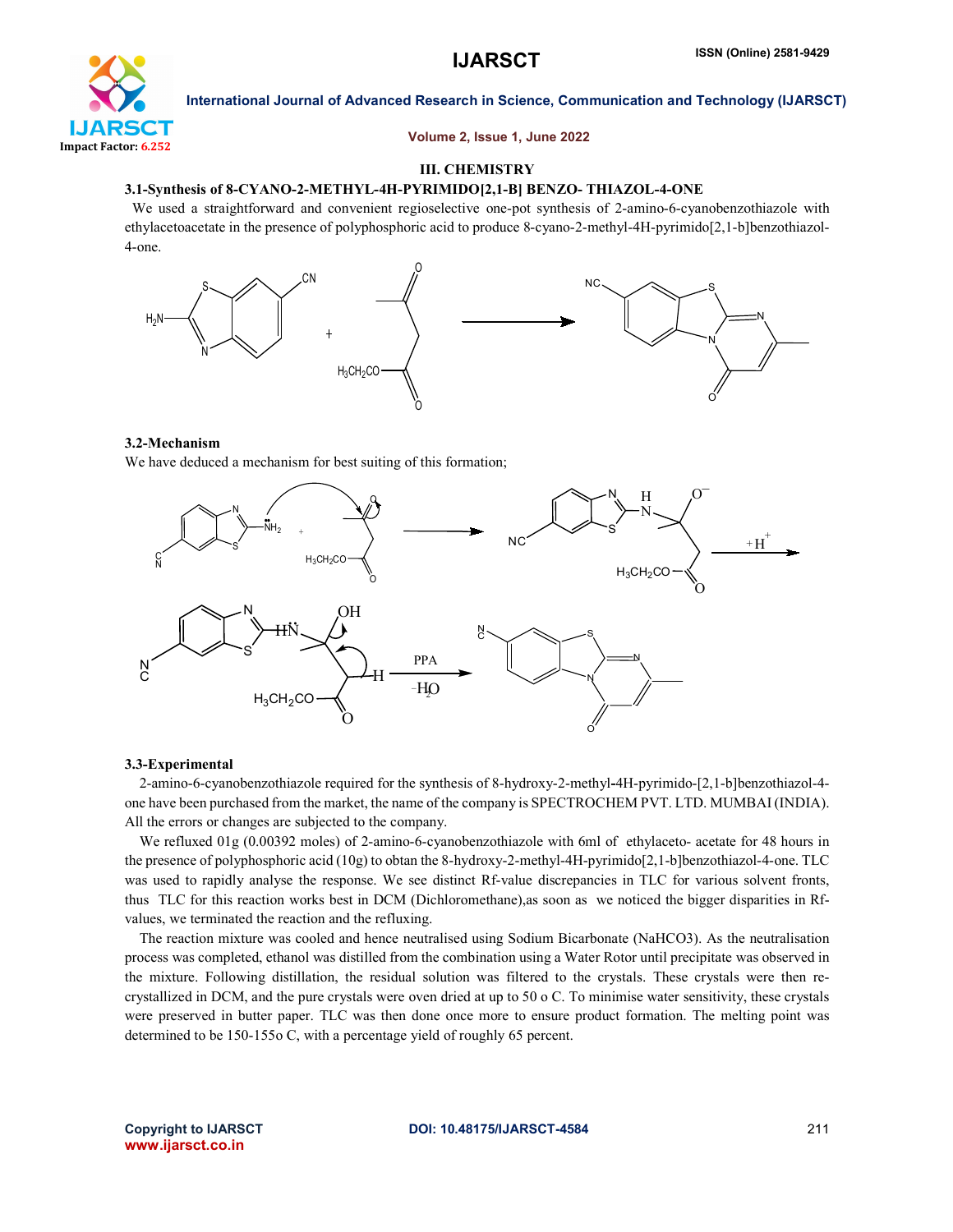

Volume 2, Issue 1, June 2022

# III. CHEMISTRY

### 3.1-Synthesis of 8-CYANO-2-METHYL-4H-PYRIMIDO[2,1-B] BENZO- THIAZOL-4-ONE

 We used a straightforward and convenient regioselective one-pot synthesis of 2-amino-6-cyanobenzothiazole with ethylacetoacetate in the presence of polyphosphoric acid to produce 8-cyano-2-methyl-4H-pyrimido[2,1-b]benzothiazol-4-one.



### 3.2-Mechanism

We have deduced a mechanism for best suiting of this formation;



#### 3.3-Experimental

 2-amino-6-cyanobenzothiazole required for the synthesis of 8-hydroxy-2-methyl-4H-pyrimido-[2,1-b]benzothiazol-4 one have been purchased from the market, the name of the company is SPECTROCHEM PVT. LTD. MUMBAI (INDIA). All the errors or changes are subjected to the company.

We refluxed 01g (0.00392 moles) of 2-amino-6-cyanobenzothiazole with 6ml of ethylaceto- acetate for 48 hours in the presence of polyphosphoric acid (10g) to obtan the 8-hydroxy-2-methyl-4H-pyrimido[2,1-b]benzothiazol-4-one. TLC was used to rapidly analyse the response. We see distinct Rf-value discrepancies in TLC for various solvent fronts, thus TLC for this reaction works best in DCM (Dichloromethane),as soon as we noticed the bigger disparities in Rfvalues, we terminated the reaction and the refluxing.

 The reaction mixture was cooled and hence neutralised using Sodium Bicarbonate (NaHCO3). As the neutralisation process was completed, ethanol was distilled from the combination using a Water Rotor until precipitate was observed in the mixture. Following distillation, the residual solution was filtered to the crystals. These crystals were then recrystallized in DCM, and the pure crystals were oven dried at up to 50 o C. To minimise water sensitivity, these crystals were preserved in butter paper. TLC was then done once more to ensure product formation. The melting point was determined to be 150-155o C, with a percentage yield of roughly 65 percent.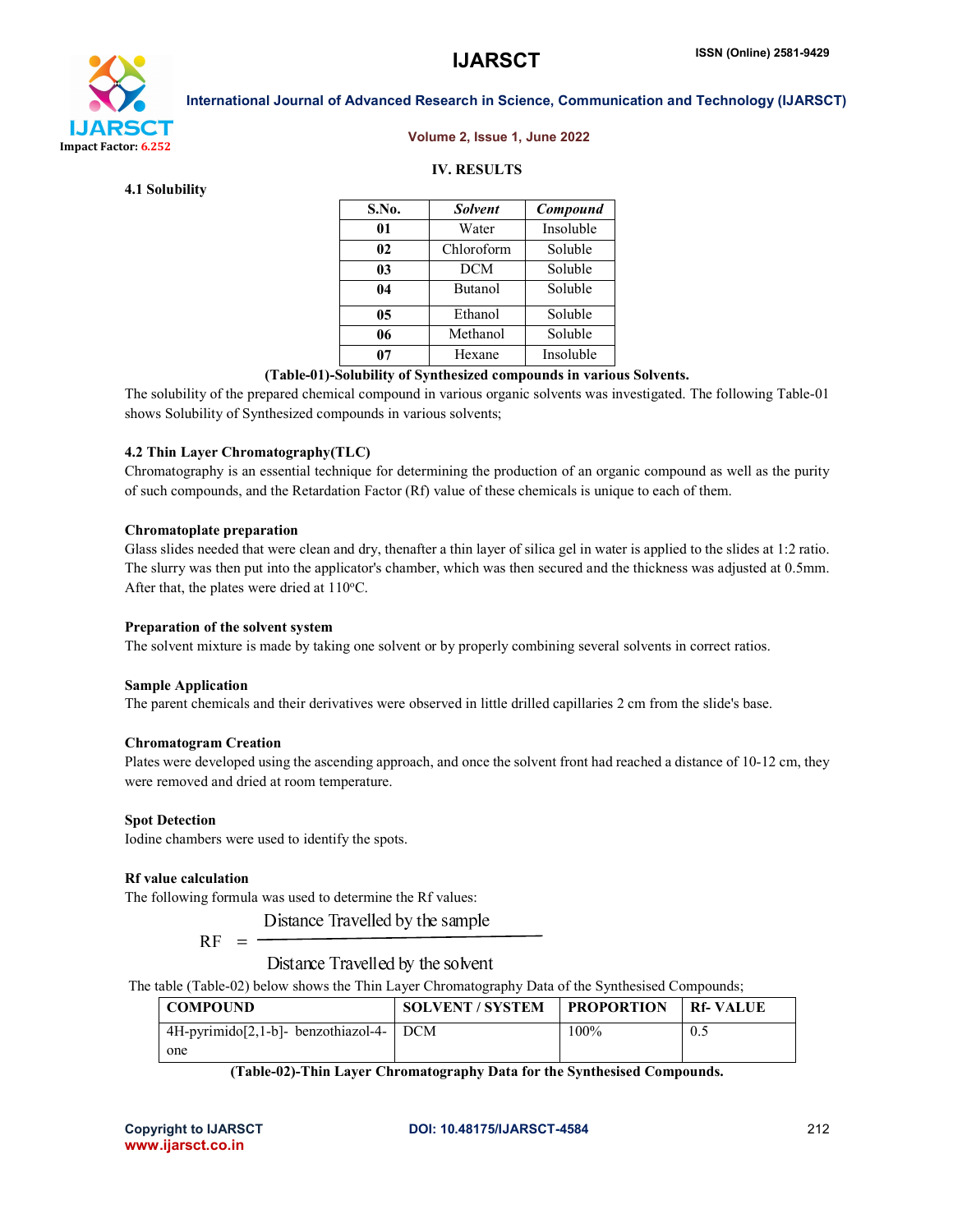

#### Volume 2, Issue 1, June 2022

# IV. RESULTS

4.1 Solubility

| S.No. | <b>Solvent</b> | Compound  |
|-------|----------------|-----------|
| 01    | Water          | Insoluble |
| 02    | Chloroform     | Soluble   |
| 03    | <b>DCM</b>     | Soluble   |
| 04    | <b>Butanol</b> | Soluble   |
| 05    | Ethanol        | Soluble   |
| 06    | Methanol       | Soluble   |
| 07    | Hexane         | Insoluble |

# (Table-01)-Solubility of Synthesized compounds in various Solvents.

The solubility of the prepared chemical compound in various organic solvents was investigated. The following Table-01 shows Solubility of Synthesized compounds in various solvents;

### 4.2 Thin Layer Chromatography(TLC)

Chromatography is an essential technique for determining the production of an organic compound as well as the purity of such compounds, and the Retardation Factor (Rf) value of these chemicals is unique to each of them.

#### Chromatoplate preparation

Glass slides needed that were clean and dry, thenafter a thin layer of silica gel in water is applied to the slides at 1:2 ratio. The slurry was then put into the applicator's chamber, which was then secured and the thickness was adjusted at 0.5mm. After that, the plates were dried at  $110^{\circ}$ C.

### Preparation of the solvent system

The solvent mixture is made by taking one solvent or by properly combining several solvents in correct ratios.

#### Sample Application

The parent chemicals and their derivatives were observed in little drilled capillaries 2 cm from the slide's base.

### Chromatogram Creation

Plates were developed using the ascending approach, and once the solvent front had reached a distance of 10-12 cm, they were removed and dried at room temperature.

#### Spot Detection

Iodine chambers were used to identify the spots.

#### Rf value calculation

The following formula was used to determine the Rf values:

Distance Travelled by the sample

$$
\rm RF
$$

 $=$   $\overline{ }$ 

Distance Travelled by the solvent

The table (Table-02) below shows the Thin Layer Chromatography Data of the Synthesised Compounds;

| <b>COMPOUND</b>                            | <b>SOLVENT / SYSTEM</b> | <b>FROPORTION</b> | <b>Rf-VALUE</b> |
|--------------------------------------------|-------------------------|-------------------|-----------------|
| $4H$ -pyrimido $[2,1-b]$ - benzothiazol-4- | <b>DCM</b>              | 100%              | 0.5             |
| one                                        |                         |                   |                 |

#### (Table-02)-Thin Layer Chromatography Data for the Synthesised Compounds.

www.ijarsct.co.in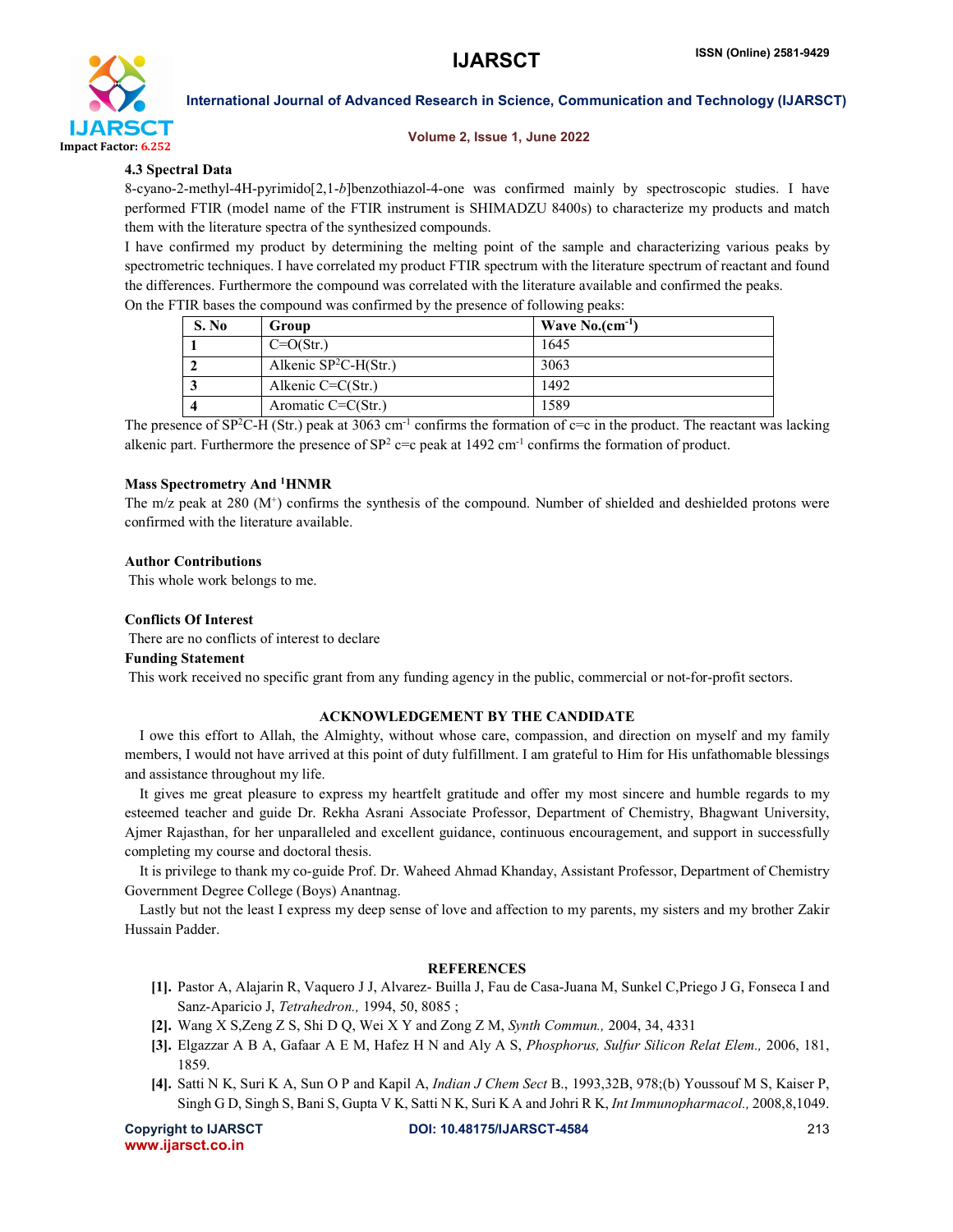

#### Volume 2, Issue 1, June 2022

# 4.3 Spectral Data

8-cyano-2-methyl-4H-pyrimido[2,1-*b*]benzothiazol-4-one was confirmed mainly by spectroscopic studies. I have performed FTIR (model name of the FTIR instrument is SHIMADZU 8400s) to characterize my products and match them with the literature spectra of the synthesized compounds.

I have confirmed my product by determining the melting point of the sample and characterizing various peaks by spectrometric techniques. I have correlated my product FTIR spectrum with the literature spectrum of reactant and found the differences. Furthermore the compound was correlated with the literature available and confirmed the peaks.

| S. No | Group                   | Wave $No.(cm^{-1})$ |
|-------|-------------------------|---------------------|
|       | $C=O(Str.)$             | 1645                |
|       | Alkenic $SP^2C-H(Str.)$ | 3063                |
|       | Alkenic $C=C(Str.)$     | 1492                |
|       | Aromatic $C=C(Str.)$    | 1589                |

On the FTIR bases the compound was confirmed by the presence of following peaks:

The presence of  $SP^2C-H (Str.)$  peak at 3063 cm<sup>-1</sup> confirms the formation of  $c=c$  in the product. The reactant was lacking alkenic part. Furthermore the presence of  $SP^2$  c=c peak at 1492 cm<sup>-1</sup> confirms the formation of product.

# Mass Spectrometry And <sup>1</sup>HNMR

The m/z peak at 280 (M<sup>+</sup>) confirms the synthesis of the compound. Number of shielded and deshielded protons were confirmed with the literature available.

### Author Contributions

This whole work belongs to me.

# Conflicts Of Interest

There are no conflicts of interest to declare

# Funding Statement

This work received no specific grant from any funding agency in the public, commercial or not-for-profit sectors.

### ACKNOWLEDGEMENT BY THE CANDIDATE

 I owe this effort to Allah, the Almighty, without whose care, compassion, and direction on myself and my family members, I would not have arrived at this point of duty fulfillment. I am grateful to Him for His unfathomable blessings and assistance throughout my life.

 It gives me great pleasure to express my heartfelt gratitude and offer my most sincere and humble regards to my esteemed teacher and guide Dr. Rekha Asrani Associate Professor, Department of Chemistry, Bhagwant University, Ajmer Rajasthan, for her unparalleled and excellent guidance, continuous encouragement, and support in successfully completing my course and doctoral thesis.

 It is privilege to thank my co-guide Prof. Dr. Waheed Ahmad Khanday, Assistant Professor, Department of Chemistry Government Degree College (Boys) Anantnag.

 Lastly but not the least I express my deep sense of love and affection to my parents, my sisters and my brother Zakir Hussain Padder.

# **REFERENCES**

- [1]. Pastor A, Alajarin R, Vaquero J J, Alvarez- Builla J, Fau de Casa-Juana M, Sunkel C,Priego J G, Fonseca I and Sanz-Aparicio J, *Tetrahedron.,* 1994, 50, 8085 ;
- [2]. Wang X S,Zeng Z S, Shi D Q, Wei X Y and Zong Z M, *Synth Commun.,* 2004, 34, 4331
- [3]. Elgazzar A B A, Gafaar A E M, Hafez H N and Aly A S, *Phosphorus, Sulfur Silicon Relat Elem.,* 2006, 181, 1859.
- [4]. Satti N K, Suri K A, Sun O P and Kapil A, *Indian J Chem Sect* B., 1993,32B, 978;(b) Youssouf M S, Kaiser P, Singh G D, Singh S, Bani S, Gupta V K, Satti N K, Suri K A and Johri R K, *Int Immunopharmacol.,* 2008,8,1049.

www.ijarsct.co.in